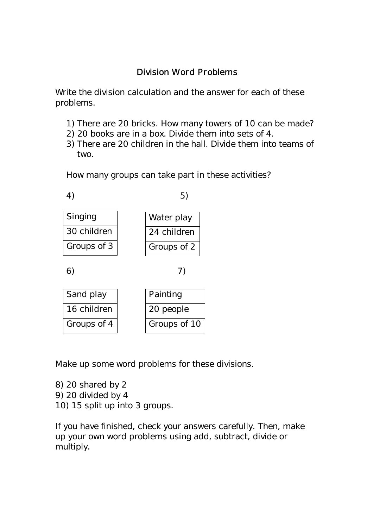## Division Word Problems

Write the division calculation and the answer for each of these problems.

- 1) There are 20 bricks. How many towers of 10 can be made?
- 2) 20 books are in a box. Divide them into sets of 4.
- 3) There are 20 children in the hall. Divide them into teams of two.

How many groups can take part in these activities?



6) 7)

| Sand play   | Painting     |
|-------------|--------------|
| 16 children | 20 people    |
| Groups of 4 | Groups of 10 |

Make up some word problems for these divisions.

8) 20 shared by 2 9) 20 divided by 4 10) 15 split up into 3 groups.

If you have finished, check your answers carefully. Then, make up your own word problems using add, subtract, divide or multiply.